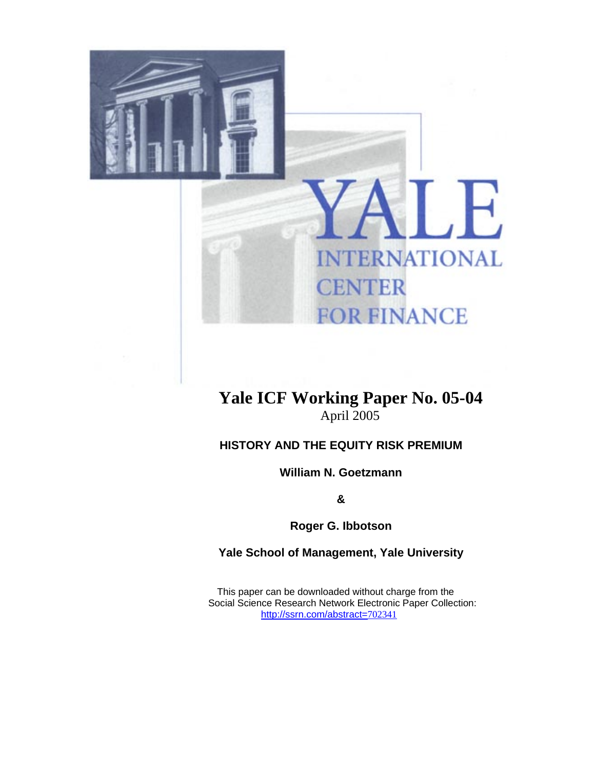

# ₹, **TERNATIONAL ENTER FOR FINANCE**

## **Yale ICF Working Paper No. 05-04**  April 2005

### **HISTORY AND THE EQUITY RISK PREMIUM**

**William N. Goetzmann** 

**&** 

**Roger G. Ibbotson** 

**Yale School of Management, Yale University**

 This paper can be downloaded without charge from the Social Science Research Network Electronic Paper Collection: [http://ssrn.com/abstract=](http://ssrn.com/abstract=560042)702341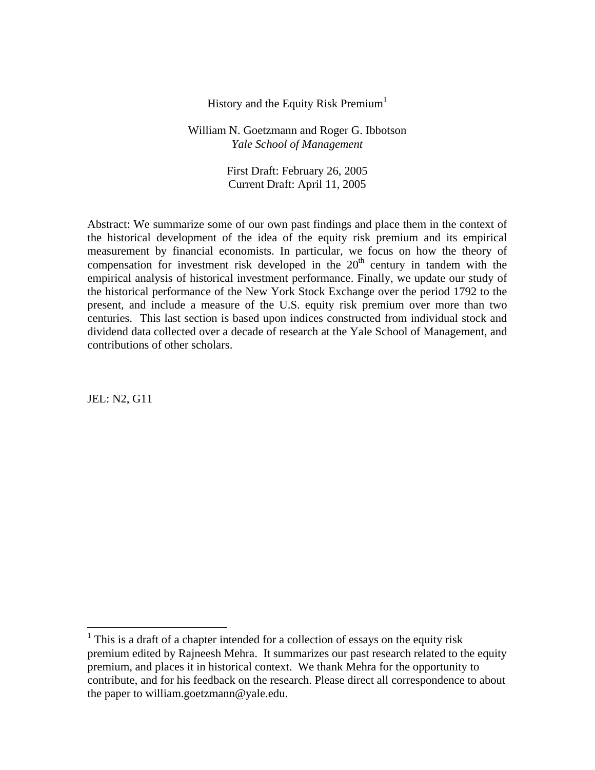#### History and the Equity Risk Premium<sup>1</sup>

#### William N. Goetzmann and Roger G. Ibbotson *Yale School of Management*

First Draft: February 26, 2005 Current Draft: April 11, 2005

Abstract: We summarize some of our own past findings and place them in the context of the historical development of the idea of the equity risk premium and its empirical measurement by financial economists. In particular, we focus on how the theory of compensation for investment risk developed in the  $20<sup>th</sup>$  century in tandem with the empirical analysis of historical investment performance. Finally, we update our study of the historical performance of the New York Stock Exchange over the period 1792 to the present, and include a measure of the U.S. equity risk premium over more than two centuries. This last section is based upon indices constructed from individual stock and dividend data collected over a decade of research at the Yale School of Management, and contributions of other scholars.

JEL: N2, G11

 $\overline{a}$ 

<span id="page-1-0"></span> $<sup>1</sup>$  This is a draft of a chapter intended for a collection of essays on the equity risk</sup> premium edited by Rajneesh Mehra. It summarizes our past research related to the equity premium, and places it in historical context. We thank Mehra for the opportunity to contribute, and for his feedback on the research. Please direct all correspondence to about the paper to william.goetzmann@yale.edu.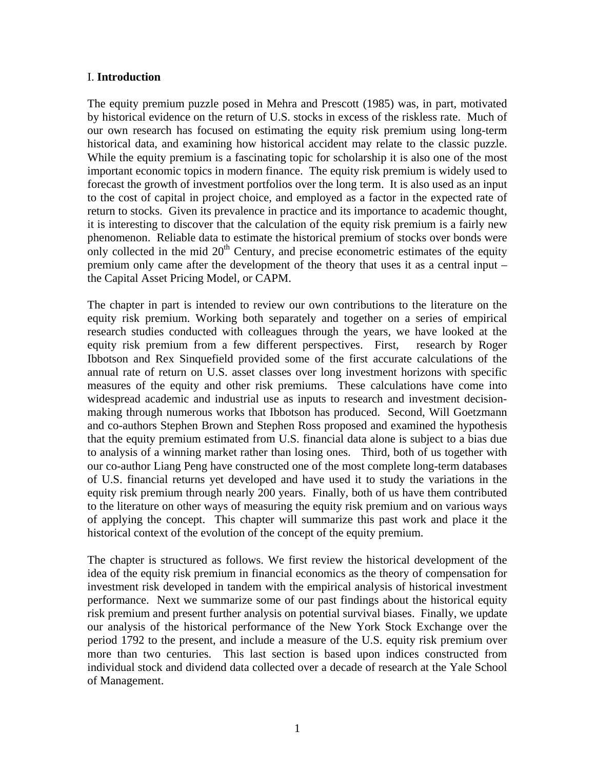#### I. **Introduction**

The equity premium puzzle posed in Mehra and Prescott (1985) was, in part, motivated by historical evidence on the return of U.S. stocks in excess of the riskless rate. Much of our own research has focused on estimating the equity risk premium using long-term historical data, and examining how historical accident may relate to the classic puzzle. While the equity premium is a fascinating topic for scholarship it is also one of the most important economic topics in modern finance. The equity risk premium is widely used to forecast the growth of investment portfolios over the long term. It is also used as an input to the cost of capital in project choice, and employed as a factor in the expected rate of return to stocks. Given its prevalence in practice and its importance to academic thought, it is interesting to discover that the calculation of the equity risk premium is a fairly new phenomenon. Reliable data to estimate the historical premium of stocks over bonds were only collected in the mid  $20<sup>th</sup>$  Century, and precise econometric estimates of the equity premium only came after the development of the theory that uses it as a central input – the Capital Asset Pricing Model, or CAPM.

The chapter in part is intended to review our own contributions to the literature on the equity risk premium. Working both separately and together on a series of empirical research studies conducted with colleagues through the years, we have looked at the equity risk premium from a few different perspectives. First, research by Roger Ibbotson and Rex Sinquefield provided some of the first accurate calculations of the annual rate of return on U.S. asset classes over long investment horizons with specific measures of the equity and other risk premiums. These calculations have come into widespread academic and industrial use as inputs to research and investment decisionmaking through numerous works that Ibbotson has produced. Second, Will Goetzmann and co-authors Stephen Brown and Stephen Ross proposed and examined the hypothesis that the equity premium estimated from U.S. financial data alone is subject to a bias due to analysis of a winning market rather than losing ones. Third, both of us together with our co-author Liang Peng have constructed one of the most complete long-term databases of U.S. financial returns yet developed and have used it to study the variations in the equity risk premium through nearly 200 years. Finally, both of us have them contributed to the literature on other ways of measuring the equity risk premium and on various ways of applying the concept. This chapter will summarize this past work and place it the historical context of the evolution of the concept of the equity premium.

The chapter is structured as follows. We first review the historical development of the idea of the equity risk premium in financial economics as the theory of compensation for investment risk developed in tandem with the empirical analysis of historical investment performance. Next we summarize some of our past findings about the historical equity risk premium and present further analysis on potential survival biases. Finally, we update our analysis of the historical performance of the New York Stock Exchange over the period 1792 to the present, and include a measure of the U.S. equity risk premium over more than two centuries. This last section is based upon indices constructed from individual stock and dividend data collected over a decade of research at the Yale School of Management.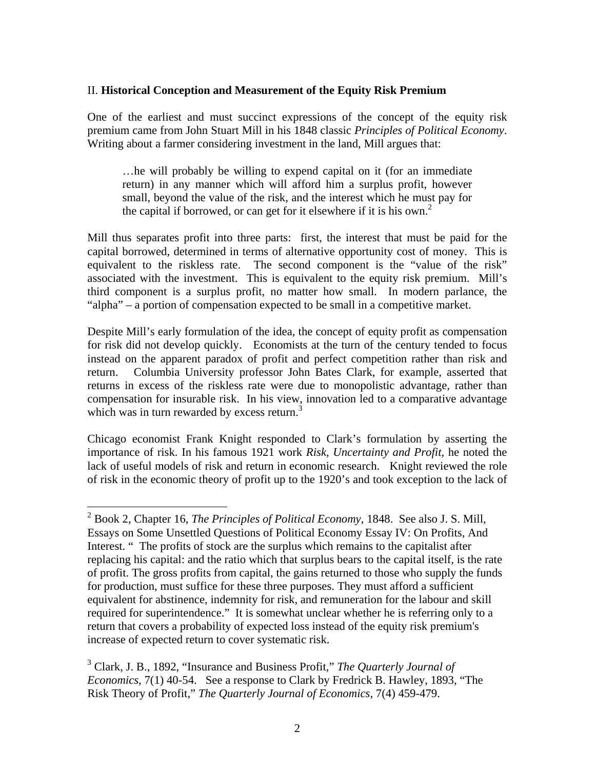#### II. **Historical Conception and Measurement of the Equity Risk Premium**

One of the earliest and must succinct expressions of the concept of the equity risk premium came from John Stuart Mill in his 1848 classic *Principles of Political Economy*. Writing about a farmer considering investment in the land, Mill argues that:

…he will probably be willing to expend capital on it (for an immediate return) in any manner which will afford him a surplus profit, however small, beyond the value of the risk, and the interest which he must pay for the capital if borrowed, or can get for it elsewhere if it is his own.<sup>[2](#page-3-0)</sup>

Mill thus separates profit into three parts: first, the interest that must be paid for the capital borrowed, determined in terms of alternative opportunity cost of money. This is equivalent to the riskless rate. The second component is the "value of the risk" associated with the investment. This is equivalent to the equity risk premium. Mill's third component is a surplus profit, no matter how small. In modern parlance, the "alpha" – a portion of compensation expected to be small in a competitive market.

Despite Mill's early formulation of the idea, the concept of equity profit as compensation for risk did not develop quickly. Economists at the turn of the century tended to focus instead on the apparent paradox of profit and perfect competition rather than risk and return. Columbia University professor John Bates Clark, for example, asserted that returns in excess of the riskless rate were due to monopolistic advantage, rather than compensation for insurable risk. In his view, innovation led to a comparative advantage which was in turn rewarded by excess return.<sup>[3](#page-3-1)</sup>

Chicago economist Frank Knight responded to Clark's formulation by asserting the importance of risk. In his famous 1921 work *Risk, Uncertainty and Profit*, he noted the lack of useful models of risk and return in economic research. Knight reviewed the role of risk in the economic theory of profit up to the 1920's and took exception to the lack of

 $\overline{a}$ 

<span id="page-3-0"></span><sup>2</sup> Book 2, Chapter 16, *The Principles of Political Economy*, 1848. See also J. S. Mill, Essays on Some Unsettled Questions of Political Economy Essay IV: On Profits, And Interest. " The profits of stock are the surplus which remains to the capitalist after replacing his capital: and the ratio which that surplus bears to the capital itself, is the rate of profit. The gross profits from capital, the gains returned to those who supply the funds for production, must suffice for these three purposes. They must afford a sufficient equivalent for abstinence, indemnity for risk, and remuneration for the labour and skill required for superintendence." It is somewhat unclear whether he is referring only to a return that covers a probability of expected loss instead of the equity risk premium's increase of expected return to cover systematic risk.

<span id="page-3-1"></span><sup>3</sup> Clark, J. B., 1892, "Insurance and Business Profit," *The Quarterly Journal of Economics*, 7(1) 40-54. See a response to Clark by Fredrick B. Hawley, 1893, "The Risk Theory of Profit," *The Quarterly Journal of Economics*, 7(4) 459-479.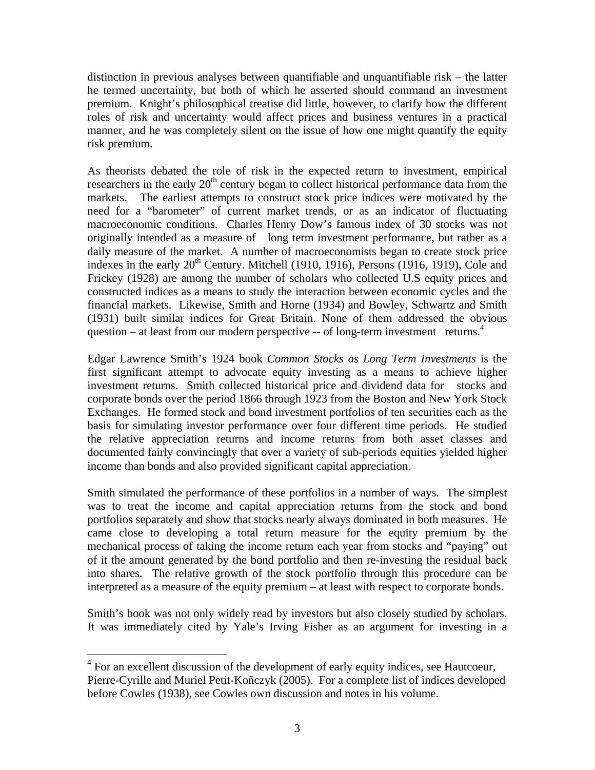distinction in previous analyses between quantifiable and unquantifiable risk – the latter he termed uncertainty, but both of which he asserted should command an investment premium. Knight's philosophical treatise did little, however, to clarify how the different roles of risk and uncertainty would affect prices and business ventures in a practical manner, and he was completely silent on the issue of how one might quantify the equity risk premium.

As theorists debated the role of risk in the expected return to investment, empirical researchers in the early 20<sup>th</sup> century began to collect historical performance data from the markets. The earliest attempts to construct stock price indices were motivated by the need for a "barometer" of current market trends, or as an indicator of fluctuating macroeconomic conditions. Charles Henry Dow's famous index of 30 stocks was not originally intended as a measure of long term investment performance, but rather as a daily measure of the market. A number of macroeconomists began to create stock price indexes in the early  $20^{th}$  Century. Mitchell (1910, 1916), Persons (1916, 1919), Cole and Frickey (1928) are among the number of scholars who collected U.S equity prices and constructed indices as a means to study the interaction between economic cycles and the financial markets. Likewise, Smith and Horne (1934) and Bowley, Schwartz and Smith (1931) built similar indices for Great Britain. None of them addressed the obvious question – at least from our modern perspective -- of long-term investment returns.<sup>4</sup>

Edgar Lawrence Smith's 1924 book *Common Stocks as Long Term Investments* is the first significant attempt to advocate equity investing as a means to achieve higher investment returns. Smith collected historical price and dividend data for stocks and corporate bonds over the period 1866 through 1923 from the Boston and New York Stock Exchanges. He formed stock and bond investment portfolios of ten securities each as the basis for simulating investor performance over four different time periods. He studied the relative appreciation returns and income returns from both asset classes and documented fairly convincingly that over a variety of sub-periods equities yielded higher income than bonds and also provided significant capital appreciation.

Smith simulated the performance of these portfolios in a number of ways. The simplest was to treat the income and capital appreciation returns from the stock and bond portfolios separately and show that stocks nearly always dominated in both measures. He came close to developing a total return measure for the equity premium by the mechanical process of taking the income return each year from stocks and "paying" out of it the amount generated by the bond portfolio and then re-investing the residual back into shares. The relative growth of the stock portfolio through this procedure can be interpreted as a measure of the equity premium – at least with respect to corporate bonds.

Smith's book was not only widely read by investors but also closely studied by scholars. It was immediately cited by Yale's Irving Fisher as an argument for investing in a

1

<span id="page-4-0"></span> $4$  For an excellent discussion of the development of early equity indices, see Hautcoeur, Pierre-Cyrille and Muriel Petit-Koñczyk (2005). For a complete list of indices developed before Cowles (1938), see Cowles own discussion and notes in his volume.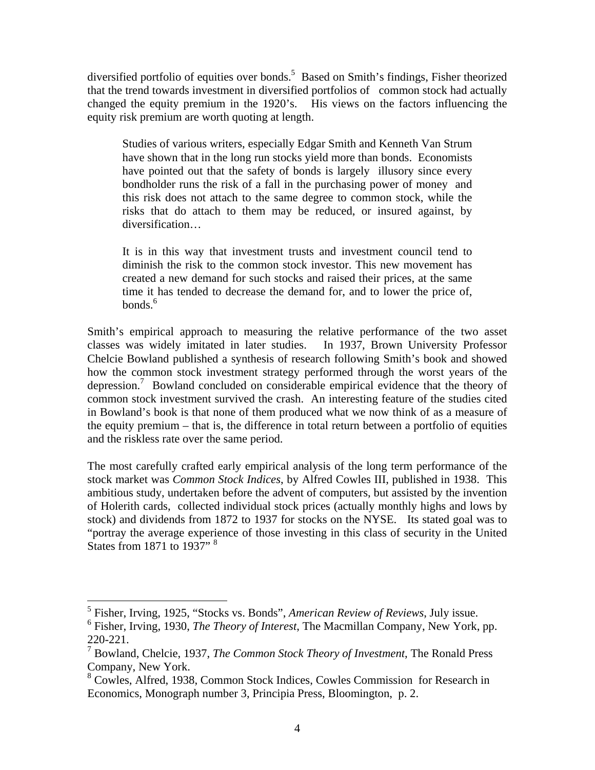diversified portfolio of equities over bonds.<sup>[5](#page-5-0)</sup> Based on Smith's findings, Fisher theorized that the trend towards investment in diversified portfolios of common stock had actually changed the equity premium in the 1920's. His views on the factors influencing the equity risk premium are worth quoting at length.

Studies of various writers, especially Edgar Smith and Kenneth Van Strum have shown that in the long run stocks yield more than bonds. Economists have pointed out that the safety of bonds is largely illusory since every bondholder runs the risk of a fall in the purchasing power of money and this risk does not attach to the same degree to common stock, while the risks that do attach to them may be reduced, or insured against, by diversification…

It is in this way that investment trusts and investment council tend to diminish the risk to the common stock investor. This new movement has created a new demand for such stocks and raised their prices, at the same time it has tended to decrease the demand for, and to lower the price of, bonds.<sup>[6](#page-5-1)</sup>

Smith's empirical approach to measuring the relative performance of the two asset classes was widely imitated in later studies. In 1937, Brown University Professor Chelcie Bowland published a synthesis of research following Smith's book and showed how the common stock investment strategy performed through the worst years of the depression[.7](#page-5-2) Bowland concluded on considerable empirical evidence that the theory of common stock investment survived the crash. An interesting feature of the studies cited in Bowland's book is that none of them produced what we now think of as a measure of the equity premium – that is, the difference in total return between a portfolio of equities and the riskless rate over the same period.

The most carefully crafted early empirical analysis of the long term performance of the stock market was *Common Stock Indices*, by Alfred Cowles III, published in 1938. This ambitious study, undertaken before the advent of computers, but assisted by the invention of Holerith cards, collected individual stock prices (actually monthly highs and lows by stock) and dividends from 1872 to 1937 for stocks on the NYSE. Its stated goal was to "portray the average experience of those investing in this class of security in the United States from 1871 to 1937" [8](#page-5-3)

<span id="page-5-0"></span> 5 Fisher, Irving, 1925, "Stocks vs. Bonds", *American Review of Reviews*, July issue.

<span id="page-5-1"></span><sup>6</sup> Fisher, Irving, 1930, *The Theory of Interest*, The Macmillan Company, New York, pp. 220-221.

<span id="page-5-2"></span><sup>7</sup> Bowland, Chelcie, 1937, *The Common Stock Theory of Investment*, The Ronald Press Company, New York.

<span id="page-5-3"></span><sup>8</sup> Cowles, Alfred, 1938, Common Stock Indices, Cowles Commission for Research in Economics, Monograph number 3, Principia Press, Bloomington, p. 2.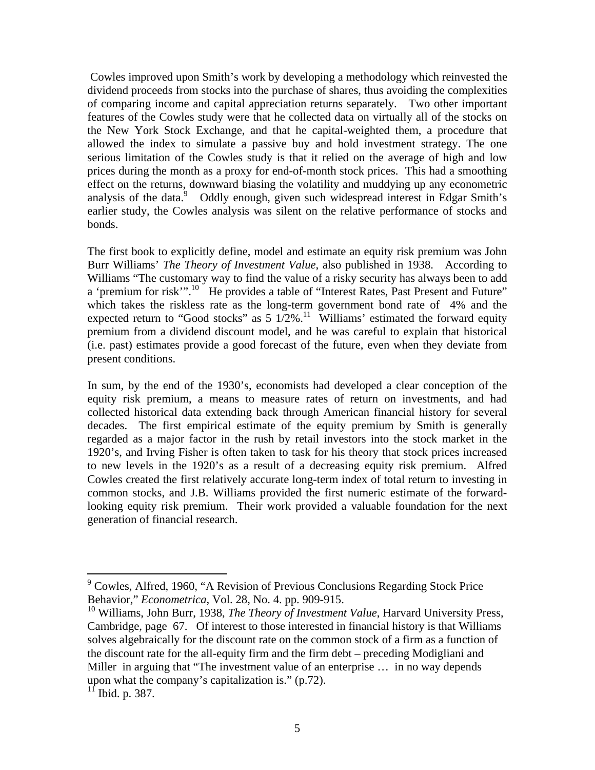Cowles improved upon Smith's work by developing a methodology which reinvested the dividend proceeds from stocks into the purchase of shares, thus avoiding the complexities of comparing income and capital appreciation returns separately. Two other important features of the Cowles study were that he collected data on virtually all of the stocks on the New York Stock Exchange, and that he capital-weighted them, a procedure that allowed the index to simulate a passive buy and hold investment strategy. The one serious limitation of the Cowles study is that it relied on the average of high and low prices during the month as a proxy for end-of-month stock prices. This had a smoothing effect on the returns, downward biasing the volatility and muddying up any econometric analysis of the data.<sup>9</sup> Oddly enough, given such widespread interest in Edgar Smith's earlier study, the Cowles analysis was silent on the relative performance of stocks and bonds.

The first book to explicitly define, model and estimate an equity risk premium was John Burr Williams' *The Theory of Investment Value*, also published in 1938. According to Williams "The customary way to find the value of a risky security has always been to add a 'premium for risk'".<sup>10</sup> He provides a table of "Interest Rates, Past Present and Future" which takes the riskless rate as the long-term government bond rate of 4% and the expected return to "Good stocks" as  $5 \frac{1}{2}\%$ .<sup>11</sup> Williams' estimated the forward equity premium from a dividend discount model, and he was careful to explain that historical (i.e. past) estimates provide a good forecast of the future, even when they deviate from present conditions.

In sum, by the end of the 1930's, economists had developed a clear conception of the equity risk premium, a means to measure rates of return on investments, and had collected historical data extending back through American financial history for several decades. The first empirical estimate of the equity premium by Smith is generally regarded as a major factor in the rush by retail investors into the stock market in the 1920's, and Irving Fisher is often taken to task for his theory that stock prices increased to new levels in the 1920's as a result of a decreasing equity risk premium. Alfred Cowles created the first relatively accurate long-term index of total return to investing in common stocks, and J.B. Williams provided the first numeric estimate of the forwardlooking equity risk premium. Their work provided a valuable foundation for the next generation of financial research.

<span id="page-6-0"></span> 9 Cowles, Alfred, 1960, "A Revision of Previous Conclusions Regarding Stock Price Behavior," *Econometrica*, Vol. 28, No. 4. pp. 909-915.

<span id="page-6-1"></span><sup>10</sup> Williams, John Burr, 1938, *The Theory of Investment Value*, Harvard University Press, Cambridge, page 67. Of interest to those interested in financial history is that Williams solves algebraically for the discount rate on the common stock of a firm as a function of the discount rate for the all-equity firm and the firm debt – preceding Modigliani and Miller in arguing that "The investment value of an enterprise … in no way depends upon what the company's capitalization is." (p.72).

<span id="page-6-2"></span> $^{11}$  Ibid. p. 387.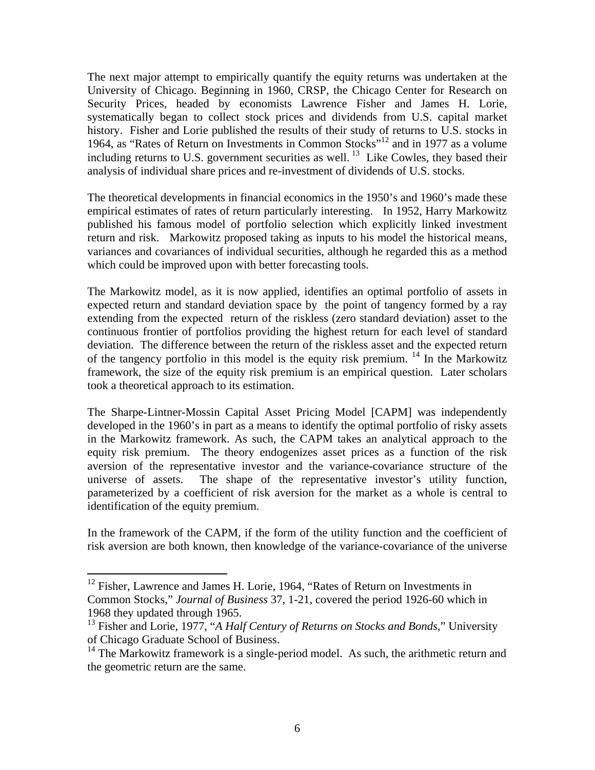The next major attempt to empirically quantify the equity returns was undertaken at the University of Chicago. Beginning in 1960, CRSP, the Chicago Center for Research on Security Prices, headed by economists Lawrence Fisher and James H. Lorie, systematically began to collect stock prices and dividends from U.S. capital market history. Fisher and Lorie published the results of their study of returns to U.S. stocks in 1964, as "Rates of Return on Investments in Common Stocks["12](#page-7-0) and in 1977 as a volume including returns to U.S. government securities as well.<sup>13</sup> Like Cowles, they based their analysis of individual share prices and re-investment of dividends of U.S. stocks.

The theoretical developments in financial economics in the 1950's and 1960's made these empirical estimates of rates of return particularly interesting. In 1952, Harry Markowitz published his famous model of portfolio selection which explicitly linked investment return and risk. Markowitz proposed taking as inputs to his model the historical means, variances and covariances of individual securities, although he regarded this as a method which could be improved upon with better forecasting tools.

The Markowitz model, as it is now applied, identifies an optimal portfolio of assets in expected return and standard deviation space by the point of tangency formed by a ray extending from the expected return of the riskless (zero standard deviation) asset to the continuous frontier of portfolios providing the highest return for each level of standard deviation. The difference between the return of the riskless asset and the expected return of the tangency portfolio in this model is the equity risk premium.  $14$  In the Markowitz framework, the size of the equity risk premium is an empirical question. Later scholars took a theoretical approach to its estimation.

The Sharpe-Lintner-Mossin Capital Asset Pricing Model [CAPM] was independently developed in the 1960's in part as a means to identify the optimal portfolio of risky assets in the Markowitz framework. As such, the CAPM takes an analytical approach to the equity risk premium. The theory endogenizes asset prices as a function of the risk aversion of the representative investor and the variance-covariance structure of the universe of assets. The shape of the representative investor's utility function, parameterized by a coefficient of risk aversion for the market as a whole is central to identification of the equity premium.

In the framework of the CAPM, if the form of the utility function and the coefficient of risk aversion are both known, then knowledge of the variance-covariance of the universe

 $\overline{a}$ 

<span id="page-7-0"></span> $12$  Fisher, Lawrence and James H. Lorie, 1964, "Rates of Return on Investments in Common Stocks," *Journal of Business* 37, 1-21, covered the period 1926-60 which in 1968 they updated through 1965.

<span id="page-7-1"></span><sup>13</sup> Fisher and Lorie, 1977, "*A Half Century of Returns on Stocks and Bonds*," University of Chicago Graduate School of Business.

<span id="page-7-2"></span><sup>&</sup>lt;sup>14</sup> The Markowitz framework is a single-period model. As such, the arithmetic return and the geometric return are the same.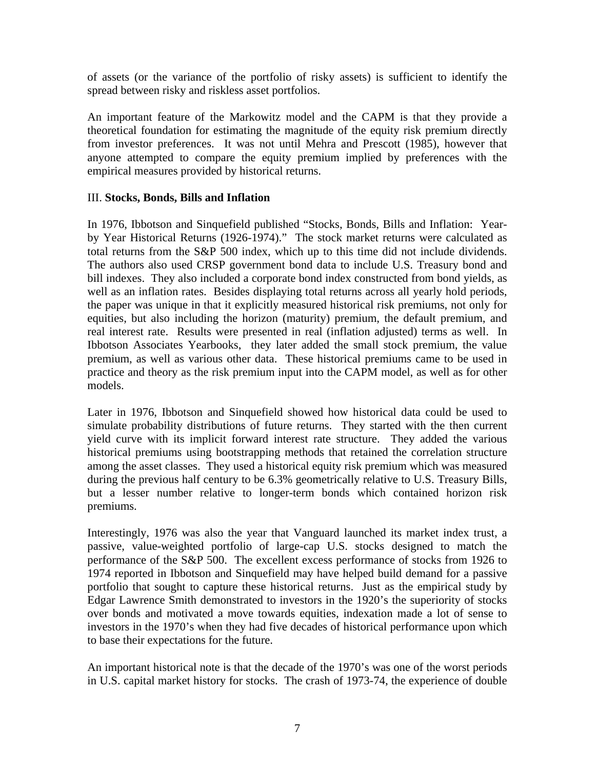of assets (or the variance of the portfolio of risky assets) is sufficient to identify the spread between risky and riskless asset portfolios.

An important feature of the Markowitz model and the CAPM is that they provide a theoretical foundation for estimating the magnitude of the equity risk premium directly from investor preferences. It was not until Mehra and Prescott (1985), however that anyone attempted to compare the equity premium implied by preferences with the empirical measures provided by historical returns.

#### III. **Stocks, Bonds, Bills and Inflation**

In 1976, Ibbotson and Sinquefield published "Stocks, Bonds, Bills and Inflation: Yearby Year Historical Returns (1926-1974)." The stock market returns were calculated as total returns from the S&P 500 index, which up to this time did not include dividends. The authors also used CRSP government bond data to include U.S. Treasury bond and bill indexes. They also included a corporate bond index constructed from bond yields, as well as an inflation rates. Besides displaying total returns across all yearly hold periods, the paper was unique in that it explicitly measured historical risk premiums, not only for equities, but also including the horizon (maturity) premium, the default premium, and real interest rate. Results were presented in real (inflation adjusted) terms as well. In Ibbotson Associates Yearbooks, they later added the small stock premium, the value premium, as well as various other data. These historical premiums came to be used in practice and theory as the risk premium input into the CAPM model, as well as for other models.

Later in 1976, Ibbotson and Sinquefield showed how historical data could be used to simulate probability distributions of future returns. They started with the then current yield curve with its implicit forward interest rate structure. They added the various historical premiums using bootstrapping methods that retained the correlation structure among the asset classes. They used a historical equity risk premium which was measured during the previous half century to be 6.3% geometrically relative to U.S. Treasury Bills, but a lesser number relative to longer-term bonds which contained horizon risk premiums.

Interestingly, 1976 was also the year that Vanguard launched its market index trust, a passive, value-weighted portfolio of large-cap U.S. stocks designed to match the performance of the S&P 500. The excellent excess performance of stocks from 1926 to 1974 reported in Ibbotson and Sinquefield may have helped build demand for a passive portfolio that sought to capture these historical returns. Just as the empirical study by Edgar Lawrence Smith demonstrated to investors in the 1920's the superiority of stocks over bonds and motivated a move towards equities, indexation made a lot of sense to investors in the 1970's when they had five decades of historical performance upon which to base their expectations for the future.

An important historical note is that the decade of the 1970's was one of the worst periods in U.S. capital market history for stocks. The crash of 1973-74, the experience of double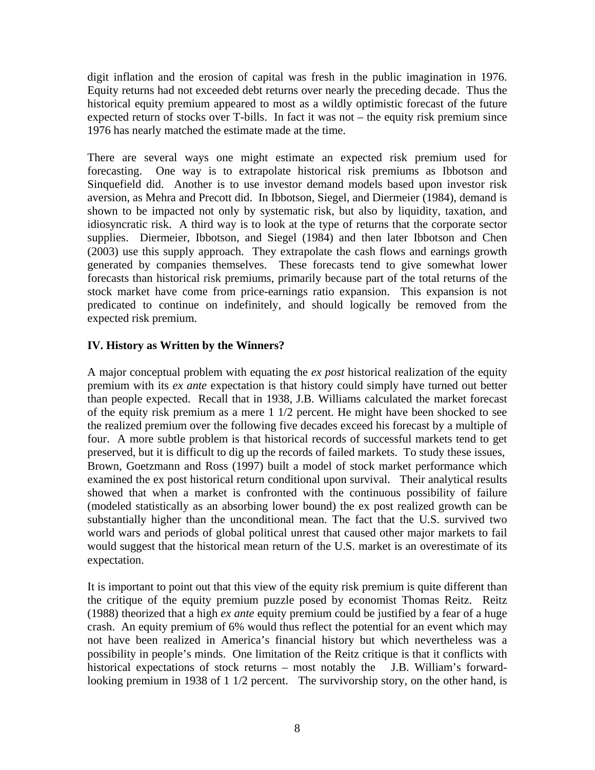digit inflation and the erosion of capital was fresh in the public imagination in 1976. Equity returns had not exceeded debt returns over nearly the preceding decade. Thus the historical equity premium appeared to most as a wildly optimistic forecast of the future expected return of stocks over T-bills. In fact it was not – the equity risk premium since 1976 has nearly matched the estimate made at the time.

There are several ways one might estimate an expected risk premium used for forecasting. One way is to extrapolate historical risk premiums as Ibbotson and Sinquefield did. Another is to use investor demand models based upon investor risk aversion, as Mehra and Precott did. In Ibbotson, Siegel, and Diermeier (1984), demand is shown to be impacted not only by systematic risk, but also by liquidity, taxation, and idiosyncratic risk. A third way is to look at the type of returns that the corporate sector supplies. Diermeier, Ibbotson, and Siegel (1984) and then later Ibbotson and Chen (2003) use this supply approach. They extrapolate the cash flows and earnings growth generated by companies themselves. These forecasts tend to give somewhat lower forecasts than historical risk premiums, primarily because part of the total returns of the stock market have come from price-earnings ratio expansion. This expansion is not predicated to continue on indefinitely, and should logically be removed from the expected risk premium.

#### **IV. History as Written by the Winners?**

A major conceptual problem with equating the *ex post* historical realization of the equity premium with its *ex ante* expectation is that history could simply have turned out better than people expected. Recall that in 1938, J.B. Williams calculated the market forecast of the equity risk premium as a mere 1 1/2 percent. He might have been shocked to see the realized premium over the following five decades exceed his forecast by a multiple of four. A more subtle problem is that historical records of successful markets tend to get preserved, but it is difficult to dig up the records of failed markets. To study these issues, Brown, Goetzmann and Ross (1997) built a model of stock market performance which examined the ex post historical return conditional upon survival. Their analytical results showed that when a market is confronted with the continuous possibility of failure (modeled statistically as an absorbing lower bound) the ex post realized growth can be substantially higher than the unconditional mean. The fact that the U.S. survived two world wars and periods of global political unrest that caused other major markets to fail would suggest that the historical mean return of the U.S. market is an overestimate of its expectation.

It is important to point out that this view of the equity risk premium is quite different than the critique of the equity premium puzzle posed by economist Thomas Reitz. Reitz (1988) theorized that a high *ex ante* equity premium could be justified by a fear of a huge crash. An equity premium of 6% would thus reflect the potential for an event which may not have been realized in America's financial history but which nevertheless was a possibility in people's minds. One limitation of the Reitz critique is that it conflicts with historical expectations of stock returns – most notably the J.B. William's forwardlooking premium in 1938 of 1 1/2 percent. The survivorship story, on the other hand, is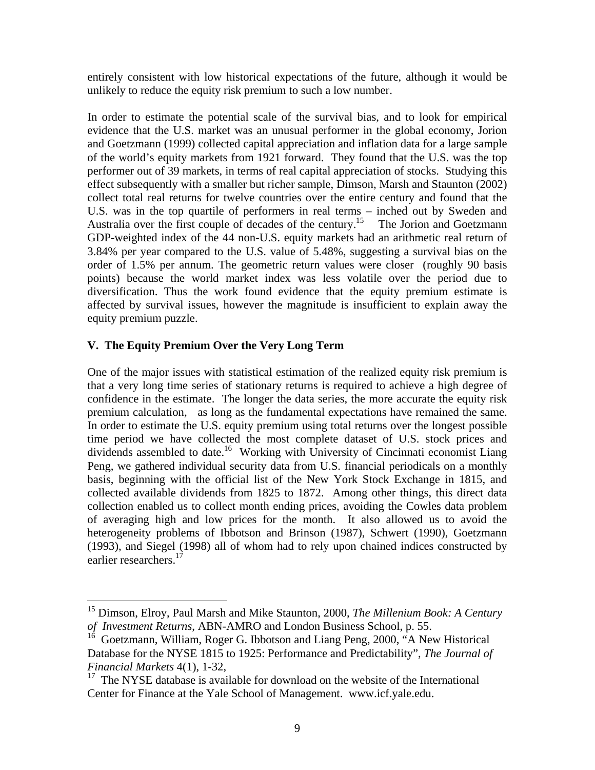entirely consistent with low historical expectations of the future, although it would be unlikely to reduce the equity risk premium to such a low number.

In order to estimate the potential scale of the survival bias, and to look for empirical evidence that the U.S. market was an unusual performer in the global economy, Jorion and Goetzmann (1999) collected capital appreciation and inflation data for a large sample of the world's equity markets from 1921 forward. They found that the U.S. was the top performer out of 39 markets, in terms of real capital appreciation of stocks. Studying this effect subsequently with a smaller but richer sample, Dimson, Marsh and Staunton (2002) collect total real returns for twelve countries over the entire century and found that the U.S. was in the top quartile of performers in real terms – inched out by Sweden and Australia over the first couple of decades of the century.<sup>15</sup> The Jorion and Goetzmann GDP-weighted index of the 44 non-U.S. equity markets had an arithmetic real return of 3.84% per year compared to the U.S. value of 5.48%, suggesting a survival bias on the order of 1.5% per annum. The geometric return values were closer (roughly 90 basis points) because the world market index was less volatile over the period due to diversification. Thus the work found evidence that the equity premium estimate is affected by survival issues, however the magnitude is insufficient to explain away the equity premium puzzle.

#### **V. The Equity Premium Over the Very Long Term**

 $\overline{a}$ 

One of the major issues with statistical estimation of the realized equity risk premium is that a very long time series of stationary returns is required to achieve a high degree of confidence in the estimate. The longer the data series, the more accurate the equity risk premium calculation, as long as the fundamental expectations have remained the same. In order to estimate the U.S. equity premium using total returns over the longest possible time period we have collected the most complete dataset of U.S. stock prices and dividends assembled to date.<sup>16</sup> Working with University of Cincinnati economist Liang Peng, we gathered individual security data from U.S. financial periodicals on a monthly basis, beginning with the official list of the New York Stock Exchange in 1815, and collected available dividends from 1825 to 1872. Among other things, this direct data collection enabled us to collect month ending prices, avoiding the Cowles data problem of averaging high and low prices for the month. It also allowed us to avoid the heterogeneity problems of Ibbotson and Brinson (1987), Schwert (1990), Goetzmann (1993), and Siegel (1998) all of whom had to rely upon chained indices constructed by earlier researchers.<sup>[17](#page-10-2)</sup>

<span id="page-10-0"></span><sup>15</sup> Dimson, Elroy, Paul Marsh and Mike Staunton, 2000, *The Millenium Book: A Century of Investment Returns*, ABN-AMRO and London Business School, p. 55.

<span id="page-10-1"></span> $16$  Goetzmann, William, Roger G. Ibbotson and Liang Peng, 2000,  $A$  New Historical Database for the NYSE 1815 to 1925: Performance and Predictability", *The Journal of Financial Markets* 4(1), 1-32,

<span id="page-10-2"></span> $17$  The NYSE database is available for download on the website of the International Center for Finance at the Yale School of Management. www.icf.yale.edu.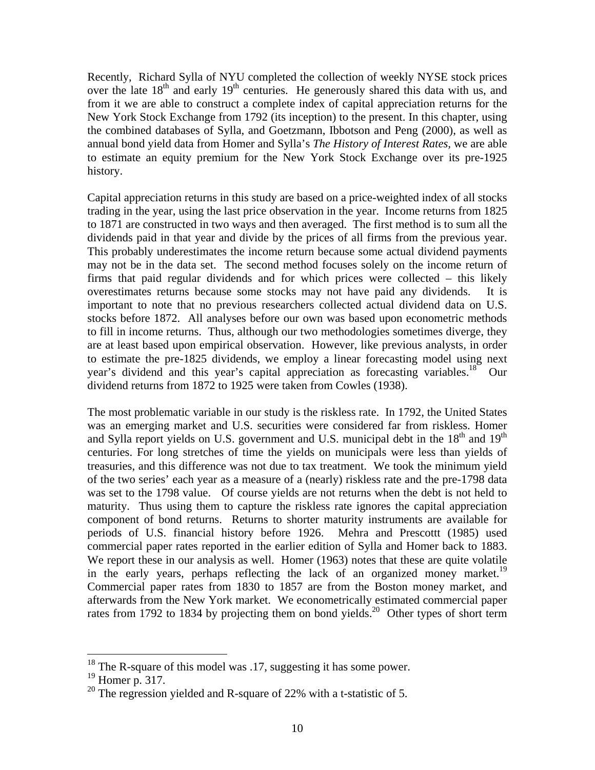Recently, Richard Sylla of NYU completed the collection of weekly NYSE stock prices over the late  $18<sup>th</sup>$  and early  $19<sup>th</sup>$  centuries. He generously shared this data with us, and from it we are able to construct a complete index of capital appreciation returns for the New York Stock Exchange from 1792 (its inception) to the present. In this chapter, using the combined databases of Sylla, and Goetzmann, Ibbotson and Peng (2000), as well as annual bond yield data from Homer and Sylla's *The History of Interest Rates,* we are able to estimate an equity premium for the New York Stock Exchange over its pre-1925 history.

Capital appreciation returns in this study are based on a price-weighted index of all stocks trading in the year, using the last price observation in the year. Income returns from 1825 to 1871 are constructed in two ways and then averaged. The first method is to sum all the dividends paid in that year and divide by the prices of all firms from the previous year. This probably underestimates the income return because some actual dividend payments may not be in the data set. The second method focuses solely on the income return of firms that paid regular dividends and for which prices were collected – this likely overestimates returns because some stocks may not have paid any dividends. It is important to note that no previous researchers collected actual dividend data on U.S. stocks before 1872. All analyses before our own was based upon econometric methods to fill in income returns. Thus, although our two methodologies sometimes diverge, they are at least based upon empirical observation. However, like previous analysts, in order to estimate the pre-1825 dividends, we employ a linear forecasting model using next year's dividend and this year's capital appreciation as forecasting variables.<sup>18</sup> Our dividend returns from 1872 to 1925 were taken from Cowles (1938).

The most problematic variable in our study is the riskless rate. In 1792, the United States was an emerging market and U.S. securities were considered far from riskless. Homer and Sylla report yields on U.S. government and U.S. municipal debt in the  $18<sup>th</sup>$  and  $19<sup>th</sup>$ centuries. For long stretches of time the yields on municipals were less than yields of treasuries, and this difference was not due to tax treatment. We took the minimum yield of the two series' each year as a measure of a (nearly) riskless rate and the pre-1798 data was set to the 1798 value. Of course yields are not returns when the debt is not held to maturity. Thus using them to capture the riskless rate ignores the capital appreciation component of bond returns. Returns to shorter maturity instruments are available for periods of U.S. financial history before 1926. Mehra and Prescottt (1985) used commercial paper rates reported in the earlier edition of Sylla and Homer back to 1883. We report these in our analysis as well. Homer (1963) notes that these are quite volatile in the early years, perhaps reflecting the lack of an organized money market.<sup>19</sup> Commercial paper rates from 1830 to 1857 are from the Boston money market, and afterwards from the New York market. We econometrically estimated commercial paper rates from 1792 to 1834 by projecting them on bond yields.<sup>20</sup> Other types of short term

1

<span id="page-11-0"></span><sup>&</sup>lt;sup>18</sup> The R-square of this model was .17, suggesting it has some power.

<span id="page-11-1"></span><sup>19</sup> Homer p. 317.

<span id="page-11-2"></span><sup>&</sup>lt;sup>20</sup> The regression yielded and R-square of 22% with a t-statistic of 5.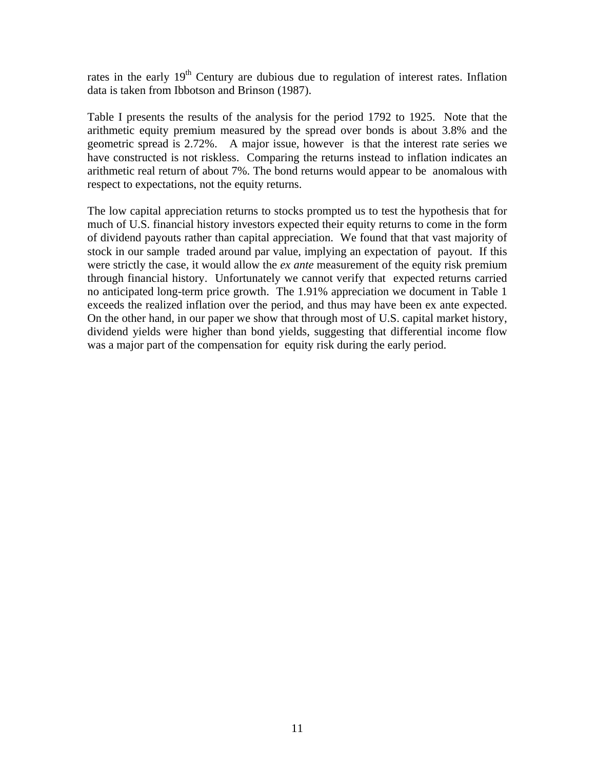rates in the early  $19<sup>th</sup>$  Century are dubious due to regulation of interest rates. Inflation data is taken from Ibbotson and Brinson (1987).

Table I presents the results of the analysis for the period 1792 to 1925. Note that the arithmetic equity premium measured by the spread over bonds is about 3.8% and the geometric spread is 2.72%. A major issue, however is that the interest rate series we have constructed is not riskless. Comparing the returns instead to inflation indicates an arithmetic real return of about 7%. The bond returns would appear to be anomalous with respect to expectations, not the equity returns.

The low capital appreciation returns to stocks prompted us to test the hypothesis that for much of U.S. financial history investors expected their equity returns to come in the form of dividend payouts rather than capital appreciation. We found that that vast majority of stock in our sample traded around par value, implying an expectation of payout. If this were strictly the case, it would allow the *ex ante* measurement of the equity risk premium through financial history. Unfortunately we cannot verify that expected returns carried no anticipated long-term price growth. The 1.91% appreciation we document in Table 1 exceeds the realized inflation over the period, and thus may have been ex ante expected. On the other hand, in our paper we show that through most of U.S. capital market history, dividend yields were higher than bond yields, suggesting that differential income flow was a major part of the compensation for equity risk during the early period.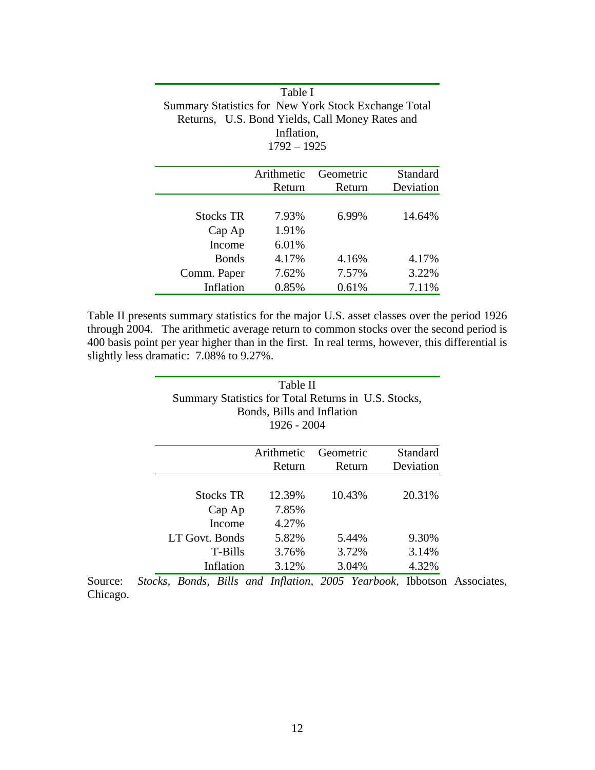| Table I                                              |            |           |           |  |  |
|------------------------------------------------------|------------|-----------|-----------|--|--|
| Summary Statistics for New York Stock Exchange Total |            |           |           |  |  |
| Returns, U.S. Bond Yields, Call Money Rates and      |            |           |           |  |  |
| Inflation,                                           |            |           |           |  |  |
| $1792 - 1925$                                        |            |           |           |  |  |
|                                                      |            |           |           |  |  |
|                                                      | Arithmetic | Geometric | Standard  |  |  |
|                                                      | Return     | Return    | Deviation |  |  |
|                                                      |            |           |           |  |  |
| <b>Stocks TR</b>                                     | 7.93%      | 6.99%     | 14.64%    |  |  |
| Cap Ap                                               | 1.91%      |           |           |  |  |
| Income                                               | 6.01%      |           |           |  |  |
| <b>Bonds</b>                                         | 4.17%      | 4.16%     | 4.17%     |  |  |
| Comm. Paper                                          | 7.62%      | 7.57%     | 3.22%     |  |  |
| Inflation                                            | 0.85%      | 0.61%     | 7.11%     |  |  |

| Table II presents summary statistics for the major U.S. asset classes over the period 1926      |
|-------------------------------------------------------------------------------------------------|
| through 2004. The arithmetic average return to common stocks over the second period is          |
| 400 basis point per year higher than in the first. In real terms, however, this differential is |
| slightly less dramatic: 7.08% to 9.27%.                                                         |

| Table II<br>Summary Statistics for Total Returns in U.S. Stocks,<br>Bonds, Bills and Inflation<br>1926 - 2004 |        |        |           |  |  |  |            |           |          |
|---------------------------------------------------------------------------------------------------------------|--------|--------|-----------|--|--|--|------------|-----------|----------|
|                                                                                                               |        |        |           |  |  |  |            |           |          |
|                                                                                                               |        |        |           |  |  |  | Arithmetic | Geometric | Standard |
|                                                                                                               | Return | Return | Deviation |  |  |  |            |           |          |
|                                                                                                               |        |        |           |  |  |  |            |           |          |
| <b>Stocks TR</b>                                                                                              | 12.39% | 10.43% | 20.31%    |  |  |  |            |           |          |
| Cap Ap                                                                                                        | 7.85%  |        |           |  |  |  |            |           |          |
| Income                                                                                                        | 4.27%  |        |           |  |  |  |            |           |          |
| LT Govt. Bonds                                                                                                | 5.82%  | 5.44%  | 9.30%     |  |  |  |            |           |          |
| T-Bills                                                                                                       | 3.76%  | 3.72%  | 3.14%     |  |  |  |            |           |          |

Source: *Stocks, Bonds, Bills and Inflation, 2005 Yearbook*, Ibbotson Associates, Chicago.

Inflation 3.12% 3.04% 4.32%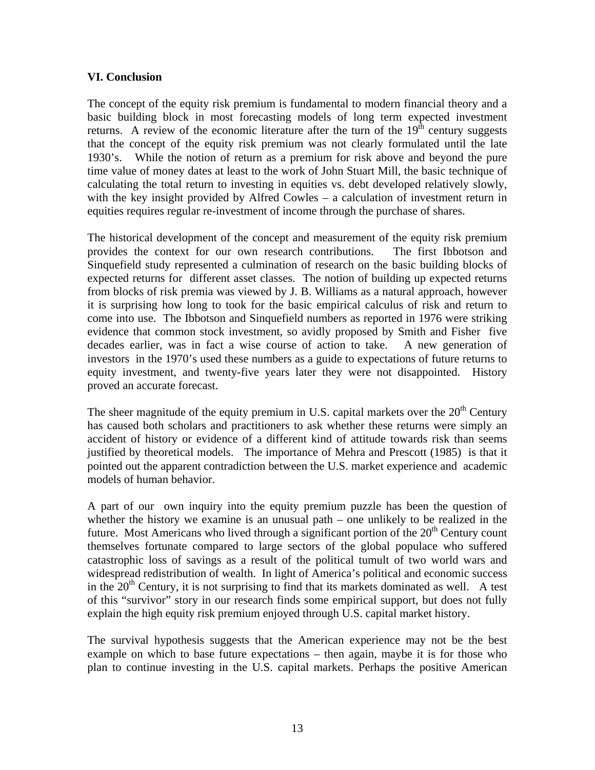#### **VI. Conclusion**

The concept of the equity risk premium is fundamental to modern financial theory and a basic building block in most forecasting models of long term expected investment returns. A review of the economic literature after the turn of the  $19<sup>th</sup>$  century suggests that the concept of the equity risk premium was not clearly formulated until the late 1930's. While the notion of return as a premium for risk above and beyond the pure time value of money dates at least to the work of John Stuart Mill, the basic technique of calculating the total return to investing in equities vs. debt developed relatively slowly, with the key insight provided by Alfred Cowles – a calculation of investment return in equities requires regular re-investment of income through the purchase of shares.

The historical development of the concept and measurement of the equity risk premium provides the context for our own research contributions. The first Ibbotson and Sinquefield study represented a culmination of research on the basic building blocks of expected returns for different asset classes. The notion of building up expected returns from blocks of risk premia was viewed by J. B. Williams as a natural approach, however it is surprising how long to took for the basic empirical calculus of risk and return to come into use. The Ibbotson and Sinquefield numbers as reported in 1976 were striking evidence that common stock investment, so avidly proposed by Smith and Fisher five decades earlier, was in fact a wise course of action to take. A new generation of investors in the 1970's used these numbers as a guide to expectations of future returns to equity investment, and twenty-five years later they were not disappointed. History proved an accurate forecast.

The sheer magnitude of the equity premium in U.S. capital markets over the  $20<sup>th</sup>$  Century has caused both scholars and practitioners to ask whether these returns were simply an accident of history or evidence of a different kind of attitude towards risk than seems justified by theoretical models. The importance of Mehra and Prescott (1985) is that it pointed out the apparent contradiction between the U.S. market experience and academic models of human behavior.

A part of our own inquiry into the equity premium puzzle has been the question of whether the history we examine is an unusual path – one unlikely to be realized in the future. Most Americans who lived through a significant portion of the  $20<sup>th</sup>$  Century count themselves fortunate compared to large sectors of the global populace who suffered catastrophic loss of savings as a result of the political tumult of two world wars and widespread redistribution of wealth. In light of America's political and economic success in the  $20<sup>th</sup>$  Century, it is not surprising to find that its markets dominated as well. A test of this "survivor" story in our research finds some empirical support, but does not fully explain the high equity risk premium enjoyed through U.S. capital market history.

The survival hypothesis suggests that the American experience may not be the best example on which to base future expectations – then again, maybe it is for those who plan to continue investing in the U.S. capital markets. Perhaps the positive American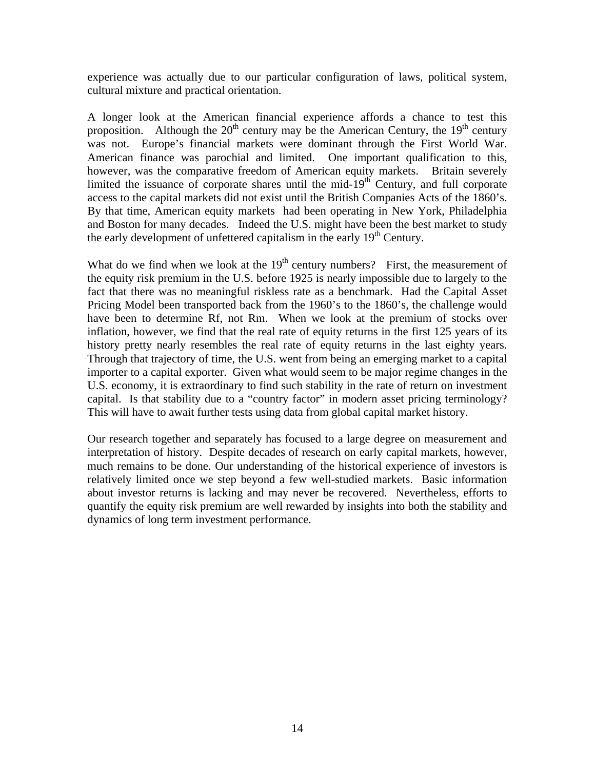experience was actually due to our particular configuration of laws, political system, cultural mixture and practical orientation.

A longer look at the American financial experience affords a chance to test this proposition. Although the  $20<sup>th</sup>$  century may be the American Century, the  $19<sup>th</sup>$  century was not. Europe's financial markets were dominant through the First World War. American finance was parochial and limited. One important qualification to this, however, was the comparative freedom of American equity markets. Britain severely limited the issuance of corporate shares until the mid- $19<sup>th</sup>$  Century, and full corporate access to the capital markets did not exist until the British Companies Acts of the 1860's. By that time, American equity markets had been operating in New York, Philadelphia and Boston for many decades. Indeed the U.S. might have been the best market to study the early development of unfettered capitalism in the early  $19<sup>th</sup>$  Century.

What do we find when we look at the  $19<sup>th</sup>$  century numbers? First, the measurement of the equity risk premium in the U.S. before 1925 is nearly impossible due to largely to the fact that there was no meaningful riskless rate as a benchmark. Had the Capital Asset Pricing Model been transported back from the 1960's to the 1860's, the challenge would have been to determine Rf, not Rm. When we look at the premium of stocks over inflation, however, we find that the real rate of equity returns in the first 125 years of its history pretty nearly resembles the real rate of equity returns in the last eighty years. Through that trajectory of time, the U.S. went from being an emerging market to a capital importer to a capital exporter. Given what would seem to be major regime changes in the U.S. economy, it is extraordinary to find such stability in the rate of return on investment capital. Is that stability due to a "country factor" in modern asset pricing terminology? This will have to await further tests using data from global capital market history.

Our research together and separately has focused to a large degree on measurement and interpretation of history. Despite decades of research on early capital markets, however, much remains to be done. Our understanding of the historical experience of investors is relatively limited once we step beyond a few well-studied markets. Basic information about investor returns is lacking and may never be recovered. Nevertheless, efforts to quantify the equity risk premium are well rewarded by insights into both the stability and dynamics of long term investment performance.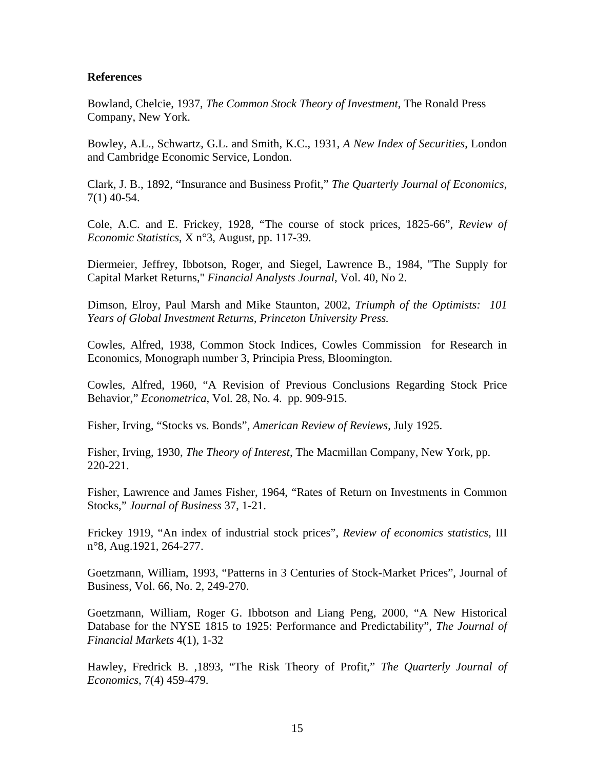#### **References**

Bowland, Chelcie, 1937, *The Common Stock Theory of Investment*, The Ronald Press Company, New York.

Bowley, A.L., Schwartz, G.L. and Smith, K.C., 1931, *A New Index of Securities*, London and Cambridge Economic Service, London.

Clark, J. B., 1892, "Insurance and Business Profit," *The Quarterly Journal of Economics*, 7(1) 40-54.

Cole, A.C. and E. Frickey, 1928, "The course of stock prices, 1825-66", *Review of Economic Statistics*, X n°3, August, pp. 117-39.

Diermeier, Jeffrey, Ibbotson, Roger, and Siegel, Lawrence B., 1984, "The Supply for Capital Market Returns," *Financial Analysts Journal*, Vol. 40, No 2.

Dimson, Elroy, Paul Marsh and Mike Staunton, 2002, *Triumph of the Optimists: 101 Years of Global Investment Returns, Princeton University Press.*

Cowles, Alfred, 1938, Common Stock Indices, Cowles Commission for Research in Economics, Monograph number 3, Principia Press, Bloomington.

Cowles, Alfred, 1960, "A Revision of Previous Conclusions Regarding Stock Price Behavior," *Econometrica*, Vol. 28, No. 4. pp. 909-915.

Fisher, Irving, "Stocks vs. Bonds", *American Review of Reviews*, July 1925.

Fisher, Irving, 1930, *The Theory of Interest*, The Macmillan Company, New York, pp. 220-221.

Fisher, Lawrence and James Fisher, 1964, "Rates of Return on Investments in Common Stocks," *Journal of Business* 37, 1-21.

Frickey 1919, "An index of industrial stock prices", *Review of economics statistics*, III n°8, Aug.1921, 264-277.

Goetzmann, William, 1993, "Patterns in 3 Centuries of Stock-Market Prices", Journal of Business, Vol. 66, No. 2, 249-270.

Goetzmann, William, Roger G. Ibbotson and Liang Peng, 2000, "A New Historical Database for the NYSE 1815 to 1925: Performance and Predictability", *The Journal of Financial Markets* 4(1), 1-32

Hawley, Fredrick B. ,1893, "The Risk Theory of Profit," *The Quarterly Journal of Economics*, 7(4) 459-479.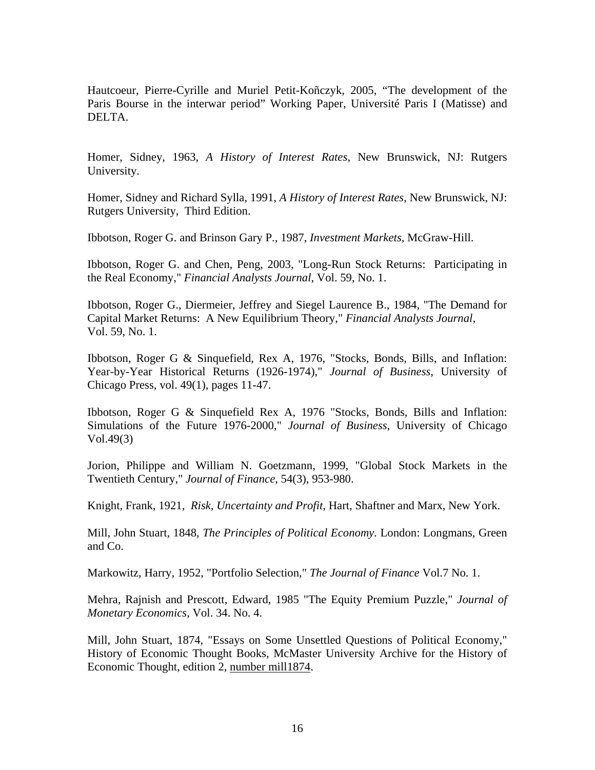Hautcoeur, Pierre-Cyrille and Muriel Petit-Koñczyk, 2005, "The development of the Paris Bourse in the interwar period" Working Paper, Université Paris I (Matisse) and DELTA.

Homer, Sidney, 1963, *A History of Interest Rates*, New Brunswick, NJ: Rutgers University.

Homer, Sidney and Richard Sylla, 1991, *A History of Interest Rates*, New Brunswick, NJ: Rutgers University, Third Edition.

Ibbotson, Roger G. and Brinson Gary P., 1987, *Investment Markets*, McGraw-Hill.

Ibbotson, Roger G. and Chen, Peng, 2003, "Long-Run Stock Returns: Participating in the Real Economy," *Financial Analysts Journal*, Vol. 59, No. 1.

Ibbotson, Roger G., Diermeier, Jeffrey and Siegel Laurence B., 1984, "The Demand for Capital Market Returns: A New Equilibrium Theory," *Financial Analysts Journal*, Vol. 59, No. 1.

Ibbotson, Roger G & Sinquefield, Rex A, 1976, "Stocks, Bonds, Bills, and Inflation: Year-by-Year Historical Returns (1926-1974)," *Journal of Business*, University of Chicago Press, vol. 49(1), pages 11-47.

Ibbotson, Roger G & Sinquefield Rex A, 1976 "Stocks, Bonds, Bills and Inflation: Simulations of the Future 1976-2000," *Journal of Business*, University of Chicago Vol.49(3)

Jorion, Philippe and William N. Goetzmann, 1999, "Global Stock Markets in the Twentieth Century," *Journal of Finance*, 54(3), 953-980.

Knight, Frank, 1921, *Risk, Uncertainty and Profit*, Hart, Shaftner and Marx, New York.

Mill, John Stuart, 1848, *The Principles of Political Economy.* London: Longmans, Green and Co.

Markowitz, Harry, 1952, "Portfolio Selection," *The Journal of Finance* Vol.7 No. 1.

Mehra, Rajnish and Prescott, Edward, 1985 "The Equity Premium Puzzle," *Journal of Monetary Economics*, Vol. 34. No. 4.

Mill, John Stuart, 1874, "Essays on Some Unsettled Questions of Political Economy," History of Economic Thought Books, McMaster University Archive for the History of Economic Thought, edition 2, number mill1874.